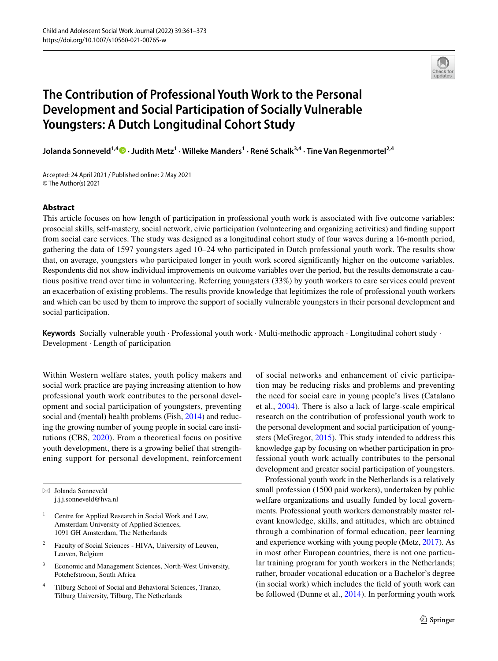

# **The Contribution of Professional Youth Work to the Personal Development and Social Participation of Socially Vulnerable Youngsters: A Dutch Longitudinal Cohort Study**

**Jolanda Sonneveld1,4  [·](http://orcid.org/0000-0002-1431-9464) Judith Metz1 · Willeke Manders1 · René Schalk3,4 · Tine Van Regenmortel2,4**

Accepted: 24 April 2021 / Published online: 2 May 2021 © The Author(s) 2021

#### **Abstract**

This article focuses on how length of participation in professional youth work is associated with fve outcome variables: prosocial skills, self-mastery, social network, civic participation (volunteering and organizing activities) and fnding support from social care services. The study was designed as a longitudinal cohort study of four waves during a 16-month period, gathering the data of 1597 youngsters aged 10–24 who participated in Dutch professional youth work. The results show that, on average, youngsters who participated longer in youth work scored signifcantly higher on the outcome variables. Respondents did not show individual improvements on outcome variables over the period, but the results demonstrate a cautious positive trend over time in volunteering. Referring youngsters (33%) by youth workers to care services could prevent an exacerbation of existing problems. The results provide knowledge that legitimizes the role of professional youth workers and which can be used by them to improve the support of socially vulnerable youngsters in their personal development and social participation.

**Keywords** Socially vulnerable youth · Professional youth work · Multi-methodic approach · Longitudinal cohort study · Development · Length of participation

Within Western welfare states, youth policy makers and social work practice are paying increasing attention to how professional youth work contributes to the personal development and social participation of youngsters, preventing social and (mental) health problems (Fish, [2014](#page-11-0)) and reducing the growing number of young people in social care institutions (CBS, [2020\)](#page-10-0). From a theoretical focus on positive youth development, there is a growing belief that strengthening support for personal development, reinforcement

 $\boxtimes$  Jolanda Sonneveld j.j.j.sonneveld@hva.nl

- Centre for Applied Research in Social Work and Law, Amsterdam University of Applied Sciences, 1091 GH Amsterdam, The Netherlands
- Faculty of Social Sciences HIVA, University of Leuven, Leuven, Belgium
- <sup>3</sup> Economic and Management Sciences, North-West University, Potchefstroom, South Africa
- <sup>4</sup> Tilburg School of Social and Behavioral Sciences, Tranzo, Tilburg University, Tilburg, The Netherlands

of social networks and enhancement of civic participation may be reducing risks and problems and preventing the need for social care in young people's lives (Catalano et al., [2004\)](#page-10-1). There is also a lack of large-scale empirical research on the contribution of professional youth work to the personal development and social participation of youngsters (McGregor, [2015](#page-11-1)). This study intended to address this knowledge gap by focusing on whether participation in professional youth work actually contributes to the personal development and greater social participation of youngsters.

Professional youth work in the Netherlands is a relatively small profession (1500 paid workers), undertaken by public welfare organizations and usually funded by local governments. Professional youth workers demonstrably master relevant knowledge, skills, and attitudes, which are obtained through a combination of formal education, peer learning and experience working with young people (Metz, [2017](#page-11-2)). As in most other European countries, there is not one particular training program for youth workers in the Netherlands; rather, broader vocational education or a Bachelor's degree (in social work) which includes the feld of youth work can be followed (Dunne et al., [2014](#page-11-3)). In performing youth work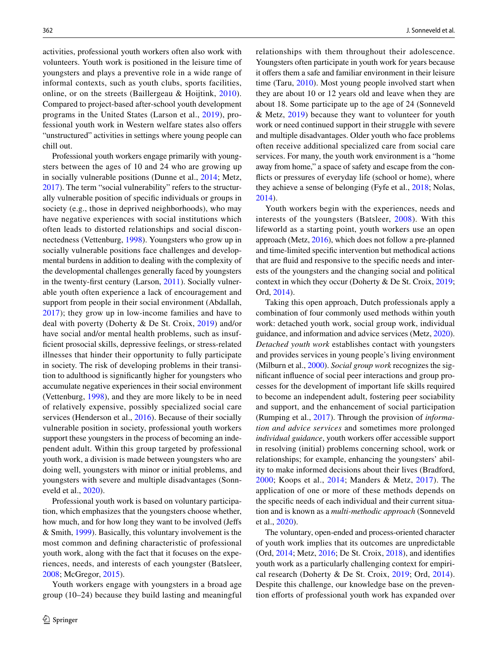activities, professional youth workers often also work with volunteers. Youth work is positioned in the leisure time of youngsters and plays a preventive role in a wide range of informal contexts, such as youth clubs, sports facilities, online, or on the streets (Baillergeau & Hoijtink, [2010](#page-10-2)). Compared to project-based after-school youth development programs in the United States (Larson et al., [2019\)](#page-11-4), professional youth work in Western welfare states also ofers "unstructured" activities in settings where young people can chill out.

Professional youth workers engage primarily with youngsters between the ages of 10 and 24 who are growing up in socially vulnerable positions (Dunne et al., [2014](#page-11-3); Metz, [2017](#page-11-2)). The term "social vulnerability" refers to the structurally vulnerable position of specifc individuals or groups in society (e.g., those in deprived neighborhoods), who may have negative experiences with social institutions which often leads to distorted relationships and social disconnectedness (Vettenburg, [1998](#page-12-0)). Youngsters who grow up in socially vulnerable positions face challenges and developmental burdens in addition to dealing with the complexity of the developmental challenges generally faced by youngsters in the twenty-frst century (Larson, [2011\)](#page-11-5). Socially vulnerable youth often experience a lack of encouragement and support from people in their social environment (Abdallah, [2017\)](#page-10-3); they grow up in low-income families and have to deal with poverty (Doherty & De St. Croix, [2019](#page-11-6)) and/or have social and/or mental health problems, such as insuffcient prosocial skills, depressive feelings, or stress-related illnesses that hinder their opportunity to fully participate in society. The risk of developing problems in their transition to adulthood is signifcantly higher for youngsters who accumulate negative experiences in their social environment (Vettenburg, [1998\)](#page-12-0), and they are more likely to be in need of relatively expensive, possibly specialized social care services (Henderson et al., [2016](#page-11-7)). Because of their socially vulnerable position in society, professional youth workers support these youngsters in the process of becoming an independent adult. Within this group targeted by professional youth work, a division is made between youngsters who are doing well, youngsters with minor or initial problems, and youngsters with severe and multiple disadvantages (Sonneveld et al., [2020\)](#page-11-8).

Professional youth work is based on voluntary participation, which emphasizes that the youngsters choose whether, how much, and for how long they want to be involved (Jeffs & Smith, [1999\)](#page-11-9). Basically, this voluntary involvement is the most common and defning characteristic of professional youth work, along with the fact that it focuses on the experiences, needs, and interests of each youngster (Batsleer, [2008](#page-10-4); McGregor, [2015](#page-11-1)).

Youth workers engage with youngsters in a broad age group (10–24) because they build lasting and meaningful relationships with them throughout their adolescence. Youngsters often participate in youth work for years because it offers them a safe and familiar environment in their leisure time (Taru, [2010\)](#page-12-1). Most young people involved start when they are about 10 or 12 years old and leave when they are about 18. Some participate up to the age of 24 (Sonneveld & Metz, [2019](#page-11-10)) because they want to volunteer for youth work or need continued support in their struggle with severe and multiple disadvantages. Older youth who face problems often receive additional specialized care from social care services. For many, the youth work environment is a "home away from home," a space of safety and escape from the conficts or pressures of everyday life (school or home), where they achieve a sense of belonging (Fyfe et al., [2018;](#page-11-11) Nolas, [2014](#page-11-12)).

Youth workers begin with the experiences, needs and interests of the youngsters (Batsleer, [2008](#page-10-4)). With this lifeworld as a starting point, youth workers use an open approach (Metz, [2016\)](#page-11-13), which does not follow a pre-planned and time-limited specifc intervention but methodical actions that are fuid and responsive to the specifc needs and interests of the youngsters and the changing social and political context in which they occur (Doherty & De St. Croix, [2019](#page-11-6); Ord, [2014\)](#page-11-14).

Taking this open approach, Dutch professionals apply a combination of four commonly used methods within youth work: detached youth work, social group work, individual guidance, and information and advice services (Metz, [2020](#page-11-15)). *Detached youth work* establishes contact with youngsters and provides services in young people's living environment (Milburn et al., [2000\)](#page-11-16). *Social group work* recognizes the signifcant infuence of social peer interactions and group processes for the development of important life skills required to become an independent adult, fostering peer sociability and support, and the enhancement of social participation (Rumping et al., [2017](#page-11-17)). Through the provision of *information and advice services* and sometimes more prolonged *individual guidance*, youth workers offer accessible support in resolving (initial) problems concerning school, work or relationships; for example, enhancing the youngsters' ability to make informed decisions about their lives (Bradford, [2000](#page-10-5); Koops et al., [2014](#page-11-18); Manders & Metz, [2017\)](#page-11-19). The application of one or more of these methods depends on the specifc needs of each individual and their current situation and is known as a *multi-methodic approach* (Sonneveld et al., [2020\)](#page-11-8).

The voluntary, open-ended and process-oriented character of youth work implies that its outcomes are unpredictable (Ord, [2014](#page-11-14); Metz, [2016](#page-11-13); De St. Croix, [2018\)](#page-11-20), and identifes youth work as a particularly challenging context for empirical research (Doherty & De St. Croix, [2019;](#page-11-6) Ord, [2014](#page-11-14)). Despite this challenge, our knowledge base on the prevention efforts of professional youth work has expanded over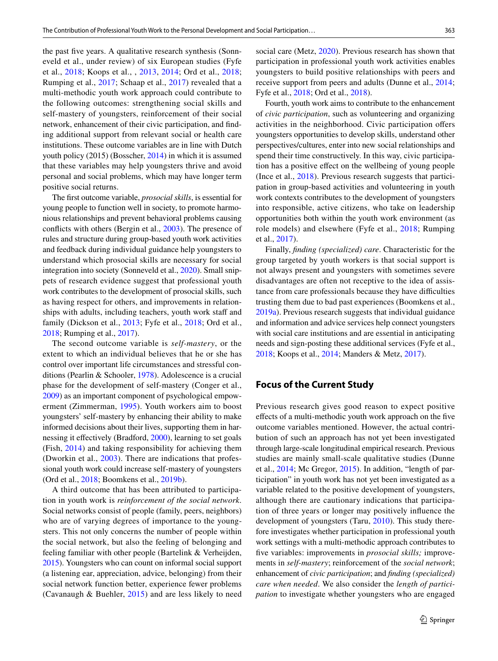the past fve years. A qualitative research synthesis (Sonneveld et al., under review) of six European studies (Fyfe et al., [2018](#page-11-11); Koops et al., , [2013](#page-11-21), [2014;](#page-11-18) Ord et al., [2018](#page-11-22); Rumping et al., [2017](#page-11-17); Schaap et al., [2017\)](#page-11-23) revealed that a multi-methodic youth work approach could contribute to the following outcomes: strengthening social skills and self-mastery of youngsters, reinforcement of their social network, enhancement of their civic participation, and fnding additional support from relevant social or health care institutions. These outcome variables are in line with Dutch youth policy (2015) (Bosscher, [2014](#page-10-6)) in which it is assumed that these variables may help youngsters thrive and avoid personal and social problems, which may have longer term positive social returns.

The frst outcome variable, *prosocial skills*, is essential for young people to function well in society, to promote harmonious relationships and prevent behavioral problems causing conficts with others (Bergin et al., [2003](#page-10-7)). The presence of rules and structure during group-based youth work activities and feedback during individual guidance help youngsters to understand which prosocial skills are necessary for social integration into society (Sonneveld et al., [2020\)](#page-11-8). Small snippets of research evidence suggest that professional youth work contributes to the development of prosocial skills, such as having respect for others, and improvements in relationships with adults, including teachers, youth work staff and family (Dickson et al., [2013;](#page-11-24) Fyfe et al., [2018](#page-11-11); Ord et al., [2018](#page-11-22); Rumping et al., [2017](#page-11-17)).

The second outcome variable is *self-mastery*, or the extent to which an individual believes that he or she has control over important life circumstances and stressful conditions (Pearlin & Schooler, [1978\)](#page-11-25). Adolescence is a crucial phase for the development of self-mastery (Conger et al., [2009](#page-10-8)) as an important component of psychological empowerment (Zimmerman, [1995\)](#page-12-2). Youth workers aim to boost youngsters' self-mastery by enhancing their ability to make informed decisions about their lives, supporting them in har-nessing it effectively (Bradford, [2000](#page-10-5)), learning to set goals (Fish, [2014](#page-11-0)) and taking responsibility for achieving them (Dworkin et al., [2003\)](#page-11-26). There are indications that professional youth work could increase self-mastery of youngsters (Ord et al., [2018](#page-11-22); Boomkens et al., [2019b\)](#page-10-9).

A third outcome that has been attributed to participation in youth work is *reinforcement of the social network*. Social networks consist of people (family, peers, neighbors) who are of varying degrees of importance to the youngsters. This not only concerns the number of people within the social network, but also the feeling of belonging and feeling familiar with other people (Bartelink & Verheijden, [2015\)](#page-10-10). Youngsters who can count on informal social support (a listening ear, appreciation, advice, belonging) from their social network function better, experience fewer problems (Cavanaugh & Buehler, [2015](#page-10-11)) and are less likely to need social care (Metz, [2020](#page-11-15)). Previous research has shown that participation in professional youth work activities enables youngsters to build positive relationships with peers and receive support from peers and adults (Dunne et al., [2014](#page-11-3); Fyfe et al., [2018](#page-11-11); Ord et al., [2018\)](#page-11-22).

Fourth, youth work aims to contribute to the enhancement of *civic participation*, such as volunteering and organizing activities in the neighborhood. Civic participation ofers youngsters opportunities to develop skills, understand other perspectives/cultures, enter into new social relationships and spend their time constructively. In this way, civic participation has a positive efect on the wellbeing of young people (Ince et al., [2018\)](#page-11-27). Previous research suggests that participation in group-based activities and volunteering in youth work contexts contributes to the development of youngsters into responsible, active citizens, who take on leadership opportunities both within the youth work environment (as role models) and elsewhere (Fyfe et al., [2018;](#page-11-11) Rumping et al., [2017\)](#page-11-17).

Finally, *fnding (specialized) care*. Characteristic for the group targeted by youth workers is that social support is not always present and youngsters with sometimes severe disadvantages are often not receptive to the idea of assistance from care professionals because they have difficulties trusting them due to bad past experiences (Boomkens et al., [2019a\)](#page-10-12). Previous research suggests that individual guidance and information and advice services help connect youngsters with social care institutions and are essential in anticipating needs and sign-posting these additional services (Fyfe et al., [2018](#page-11-11); Koops et al., [2014;](#page-11-18) Manders & Metz, [2017](#page-11-19)).

# **Focus of the Current Study**

Previous research gives good reason to expect positive efects of a multi-methodic youth work approach on the fve outcome variables mentioned. However, the actual contribution of such an approach has not yet been investigated through large-scale longitudinal empirical research. Previous studies are mainly small-scale qualitative studies (Dunne et al., [2014](#page-11-3); Mc Gregor, [2015\)](#page-11-1). In addition, "length of participation" in youth work has not yet been investigated as a variable related to the positive development of youngsters, although there are cautionary indications that participation of three years or longer may positively infuence the development of youngsters (Taru, [2010](#page-12-1)). This study therefore investigates whether participation in professional youth work settings with a multi-methodic approach contributes to five variables: improvements in *prosocial skills*; improvements in *self-mastery*; reinforcement of the *social network*; enhancement of *civic participation*; and *fnding (specialized) care when needed*. We also consider the *length of participation* to investigate whether youngsters who are engaged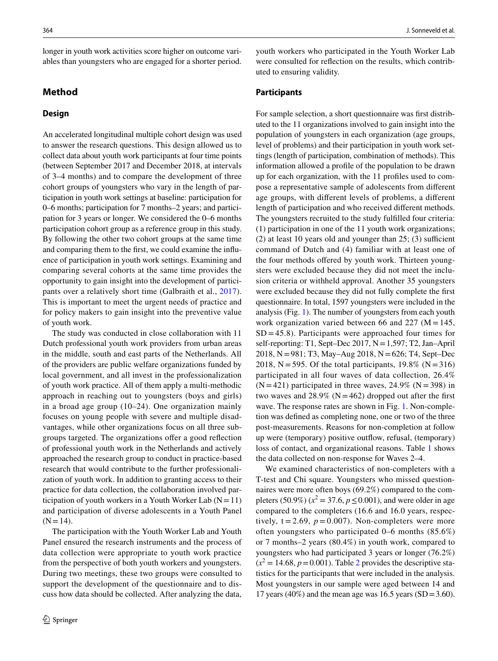longer in youth work activities score higher on outcome variables than youngsters who are engaged for a shorter period.

## **Method**

## **Design**

An accelerated longitudinal multiple cohort design was used to answer the research questions. This design allowed us to collect data about youth work participants at four time points (between September 2017 and December 2018, at intervals of 3–4 months) and to compare the development of three cohort groups of youngsters who vary in the length of participation in youth work settings at baseline: participation for 0–6 months; participation for 7 months–2 years; and participation for 3 years or longer. We considered the 0–6 months participation cohort group as a reference group in this study. By following the other two cohort groups at the same time and comparing them to the frst, we could examine the infuence of participation in youth work settings. Examining and comparing several cohorts at the same time provides the opportunity to gain insight into the development of participants over a relatively short time (Galbraith et al., [2017](#page-11-28)). This is important to meet the urgent needs of practice and for policy makers to gain insight into the preventive value of youth work.

The study was conducted in close collaboration with 11 Dutch professional youth work providers from urban areas in the middle, south and east parts of the Netherlands. All of the providers are public welfare organizations funded by local government, and all invest in the professionalization of youth work practice. All of them apply a multi-methodic approach in reaching out to youngsters (boys and girls) in a broad age group (10–24). One organization mainly focuses on young people with severe and multiple disadvantages, while other organizations focus on all three subgroups targeted. The organizations offer a good reflection of professional youth work in the Netherlands and actively approached the research group to conduct in practice-based research that would contribute to the further professionalization of youth work. In addition to granting access to their practice for data collection, the collaboration involved participation of youth workers in a Youth Worker Lab  $(N=11)$ and participation of diverse adolescents in a Youth Panel  $(N=14)$ .

The participation with the Youth Worker Lab and Youth Panel ensured the research instruments and the process of data collection were appropriate to youth work practice from the perspective of both youth workers and youngsters. During two meetings, these two groups were consulted to support the development of the questionnaire and to discuss how data should be collected. After analyzing the data, youth workers who participated in the Youth Worker Lab were consulted for refection on the results, which contributed to ensuring validity.

## **Participants**

For sample selection, a short questionnaire was frst distributed to the 11 organizations involved to gain insight into the population of youngsters in each organization (age groups, level of problems) and their participation in youth work settings (length of participation, combination of methods). This information allowed a profle of the population to be drawn up for each organization, with the 11 profles used to compose a representative sample of adolescents from diferent age groups, with diferent levels of problems, a diferent length of participation and who received diferent methods. The youngsters recruited to the study fulflled four criteria: (1) participation in one of the 11 youth work organizations;  $(2)$  at least 10 years old and younger than 25; (3) sufficient command of Dutch and (4) familiar with at least one of the four methods offered by youth work. Thirteen youngsters were excluded because they did not meet the inclusion criteria or withheld approval. Another 35 youngsters were excluded because they did not fully complete the frst questionnaire. In total, 1597 youngsters were included in the analysis (Fig. [1](#page-4-0)). The number of youngsters from each youth work organization varied between 66 and 227 ( $M = 145$ ,  $SD = 45.8$ ). Participants were approached four times for self-reporting: T1, Sept–Dec 2017,  $N = 1,597$ ; T2, Jan–April 2018, N=981; T3, May–Aug 2018, N=626; T4, Sept–Dec 2018, N = 595. Of the total participants,  $19.8\%$  (N = 316) participated in all four waves of data collection, 26.4%  $(N = 421)$  participated in three waves, 24.9%  $(N = 398)$  in two waves and  $28.9\%$  (N = 462) dropped out after the first wave. The response rates are shown in Fig. [1.](#page-4-0) Non-completion was defned as completing none, one or two of the three post-measurements. Reasons for non-completion at follow up were (temporary) positive outfow, refusal, (temporary) loss of contact, and organizational reasons. Table [1](#page-4-1) shows the data collected on non-response for Waves 2–4.

We examined characteristics of non-completers with a T-test and Chi square. Youngsters who missed questionnaires were more often boys (69.2%) compared to the completers (50.9%) ( $x^2 = 37.6$ ,  $p \le 0.001$ ), and were older in age compared to the completers (16.6 and 16.0 years, respectively,  $t = 2.69$ ,  $p = 0.007$ ). Non-completers were more often youngsters who participated 0–6 months (85.6%) or 7 months–2 years (80.4%) in youth work, compared to youngsters who had participated 3 years or longer (76.2%)  $(x^2 = 14.68, p = 0.001)$  $(x^2 = 14.68, p = 0.001)$  $(x^2 = 14.68, p = 0.001)$ . Table 2 provides the descriptive statistics for the participants that were included in the analysis. Most youngsters in our sample were aged between 14 and 17 years (40%) and the mean age was 16.5 years (SD=3.60).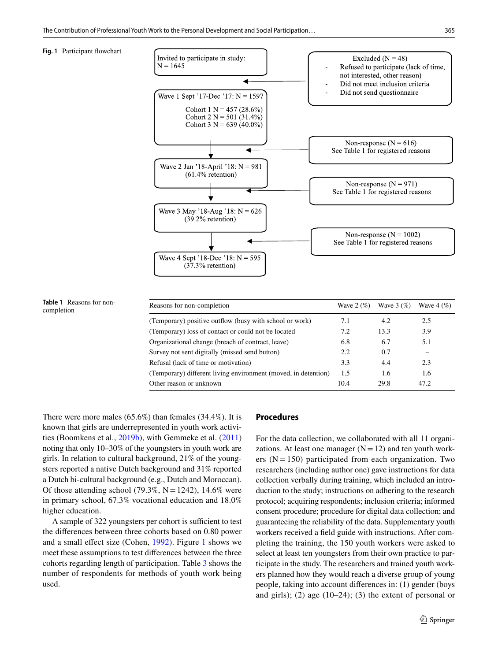<span id="page-4-0"></span>



<span id="page-4-1"></span>**Table 1** Reasons for non-

There were more males (65.6%) than females (34.4%). It is known that girls are underrepresented in youth work activities (Boomkens et al., [2019b\)](#page-10-9), with Gemmeke et al. ([2011\)](#page-11-29) noting that only 10–30% of the youngsters in youth work are girls. In relation to cultural background, 21% of the youngsters reported a native Dutch background and 31% reported a Dutch bi-cultural background (e.g., Dutch and Moroccan). Of those attending school (79.3%,  $N = 1242$ ), 14.6% were in primary school, 67.3% vocational education and 18.0% higher education.

A sample of 322 youngsters per cohort is sufficient to test the diferences between three cohorts based on 0.80 power and a small efect size (Cohen, [1992\)](#page-10-13). Figure [1](#page-4-0) shows we meet these assumptions to test diferences between the three cohorts regarding length of participation. Table [3](#page-5-1) shows the number of respondents for methods of youth work being used.

## **Procedures**

For the data collection, we collaborated with all 11 organizations. At least one manager  $(N=12)$  and ten youth workers  $(N = 150)$  participated from each organization. Two researchers (including author one) gave instructions for data collection verbally during training, which included an introduction to the study; instructions on adhering to the research protocol; acquiring respondents; inclusion criteria; informed consent procedure; procedure for digital data collection; and guaranteeing the reliability of the data. Supplementary youth workers received a feld guide with instructions. After completing the training, the 150 youth workers were asked to select at least ten youngsters from their own practice to participate in the study. The researchers and trained youth workers planned how they would reach a diverse group of young people, taking into account diferences in: (1) gender (boys and girls); (2) age (10–24); (3) the extent of personal or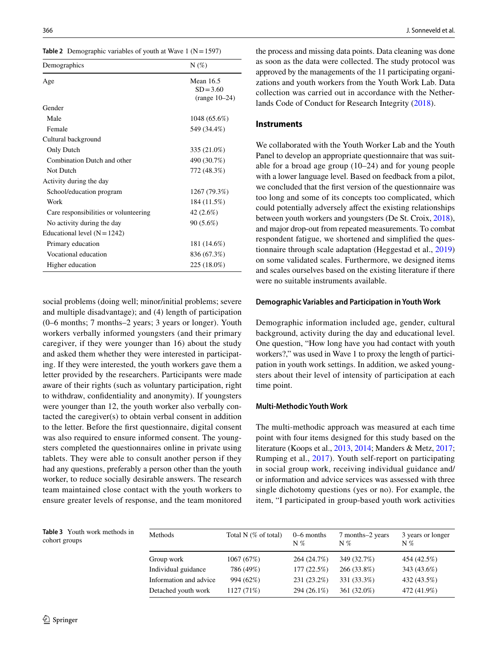<span id="page-5-0"></span>

| Demographics                          | $N(\%)$                                     |
|---------------------------------------|---------------------------------------------|
| Age                                   | Mean 16.5<br>$SD = 3.60$<br>$(range 10-24)$ |
| Gender                                |                                             |
| Male                                  | 1048 (65.6%)                                |
| Female                                | 549 (34.4%)                                 |
| Cultural background                   |                                             |
| Only Dutch                            | 335 (21.0%)                                 |
| Combination Dutch and other           | 490 (30.7%)                                 |
| Not Dutch                             | 772 (48.3%)                                 |
| Activity during the day               |                                             |
| School/education program              | 1267 (79.3%)                                |
| Work                                  | 184 (11.5%)                                 |
| Care responsibilities or volunteering | 42 (2.6%)                                   |
| No activity during the day            | $90(5.6\%)$                                 |
| Educational level $(N = 1242)$        |                                             |
| Primary education                     | 181 (14.6%)                                 |
| Vocational education                  | 836 (67.3%)                                 |
| Higher education                      | 225 (18.0%)                                 |

social problems (doing well; minor/initial problems; severe and multiple disadvantage); and (4) length of participation (0–6 months; 7 months–2 years; 3 years or longer). Youth workers verbally informed youngsters (and their primary caregiver, if they were younger than 16) about the study and asked them whether they were interested in participating. If they were interested, the youth workers gave them a letter provided by the researchers. Participants were made aware of their rights (such as voluntary participation, right to withdraw, confdentiality and anonymity). If youngsters were younger than 12, the youth worker also verbally contacted the caregiver(s) to obtain verbal consent in addition to the letter. Before the frst questionnaire, digital consent was also required to ensure informed consent. The youngsters completed the questionnaires online in private using tablets. They were able to consult another person if they had any questions, preferably a person other than the youth worker, to reduce socially desirable answers. The research team maintained close contact with the youth workers to ensure greater levels of response, and the team monitored the process and missing data points. Data cleaning was done as soon as the data were collected. The study protocol was approved by the managements of the 11 participating organizations and youth workers from the Youth Work Lab. Data collection was carried out in accordance with the Netherlands Code of Conduct for Research Integrity [\(2018](#page-12-3)).

#### **Instruments**

We collaborated with the Youth Worker Lab and the Youth Panel to develop an appropriate questionnaire that was suitable for a broad age group (10–24) and for young people with a lower language level. Based on feedback from a pilot, we concluded that the frst version of the questionnaire was too long and some of its concepts too complicated, which could potentially adversely afect the existing relationships between youth workers and youngsters (De St. Croix, [2018](#page-11-20)), and major drop-out from repeated measurements. To combat respondent fatigue, we shortened and simplifed the questionnaire through scale adaptation (Heggestad et al., [2019\)](#page-11-30) on some validated scales. Furthermore, we designed items and scales ourselves based on the existing literature if there were no suitable instruments available.

#### **Demographic Variables and Participation in Youth Work**

Demographic information included age, gender, cultural background, activity during the day and educational level. One question, "How long have you had contact with youth workers?," was used in Wave 1 to proxy the length of participation in youth work settings. In addition, we asked youngsters about their level of intensity of participation at each time point.

## **Multi‑Methodic Youth Work**

The multi-methodic approach was measured at each time point with four items designed for this study based on the literature (Koops et al., [2013,](#page-11-21) [2014](#page-11-18); Manders & Metz, [2017](#page-11-19); Rumping et al., [2017](#page-11-17)). Youth self-report on participating in social group work, receiving individual guidance and/ or information and advice services was assessed with three single dichotomy questions (yes or no). For example, the item, "I participated in group-based youth work activities

<span id="page-5-1"></span>**Table 3** Youth work methods in cohort groups

| Total N $(\%$ of total) | $0-6$ months<br>$N\%$ | 7 months–2 years<br>$N\%$ | 3 years or longer<br>$N\%$ |
|-------------------------|-----------------------|---------------------------|----------------------------|
| 1067 (67%)              | 264 (24.7%)           | 349 (32.7%)               | 454 (42.5%)                |
| 786 (49%)               | 177(22.5%)            | 266 (33.8%)               | 343 (43.6%)                |
| 994 (62%)               | 231 (23.2%)           | 331 (33.3%)               | 432 (43.5%)                |
| 1127 (71%)              | 294 (26.1%)           | 361 (32.0%)               | 472 (41.9%)                |
|                         |                       |                           |                            |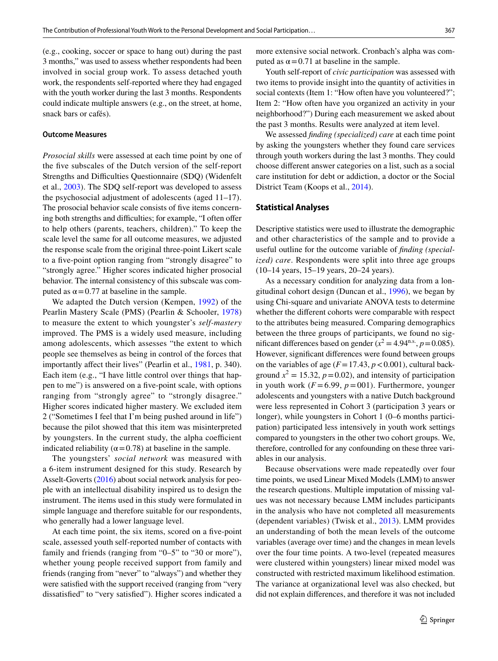(e.g., cooking, soccer or space to hang out) during the past 3 months," was used to assess whether respondents had been involved in social group work. To assess detached youth work, the respondents self-reported where they had engaged with the youth worker during the last 3 months. Respondents could indicate multiple answers (e.g., on the street, at home, snack bars or cafés).

#### **Outcome Measures**

*Prosocial skills* were assessed at each time point by one of the five subscales of the Dutch version of the self-report Strengths and Difficulties Questionnaire (SDQ) (Widenfelt et al., [2003](#page-12-4)). The SDQ self-report was developed to assess the psychosocial adjustment of adolescents (aged 11–17). The prosocial behavior scale consists of fve items concerning both strengths and difficulties; for example, "I often offer to help others (parents, teachers, children)." To keep the scale level the same for all outcome measures, we adjusted the response scale from the original three-point Likert scale to a five-point option ranging from "strongly disagree" to "strongly agree." Higher scores indicated higher prosocial behavior. The internal consistency of this subscale was computed as  $α = 0.77$  at baseline in the sample.

We adapted the Dutch version (Kempen, [1992\)](#page-11-31) of the Pearlin Mastery Scale (PMS) (Pearlin & Schooler, [1978\)](#page-11-25) to measure the extent to which youngster's *self-mastery* improved. The PMS is a widely used measure, including among adolescents, which assesses "the extent to which people see themselves as being in control of the forces that importantly afect their lives" (Pearlin et al., [1981,](#page-11-32) p. 340). Each item (e.g., "I have little control over things that happen to me") is answered on a fve-point scale, with options ranging from "strongly agree" to "strongly disagree." Higher scores indicated higher mastery. We excluded item 2 ("Sometimes I feel that I'm being pushed around in life") because the pilot showed that this item was misinterpreted by youngsters. In the current study, the alpha coefficient indicated reliability ( $\alpha$  = 0.78) at baseline in the sample.

The youngsters' *social network* was measured with a 6-item instrument designed for this study. Research by Asselt-Goverts ([2016](#page-10-14)) about social network analysis for people with an intellectual disability inspired us to design the instrument. The items used in this study were formulated in simple language and therefore suitable for our respondents, who generally had a lower language level.

At each time point, the six items, scored on a fve-point scale, assessed youth self-reported number of contacts with family and friends (ranging from "0–5" to "30 or more"), whether young people received support from family and friends (ranging from "never" to "always") and whether they were satisfed with the support received (ranging from "very dissatisfed" to "very satisfed"). Higher scores indicated a more extensive social network. Cronbach's alpha was computed as  $α = 0.71$  at baseline in the sample.

Youth self-report of *civic participation* was assessed with two items to provide insight into the quantity of activities in social contexts (Item 1: "How often have you volunteered?"; Item 2: "How often have you organized an activity in your neighborhood?") During each measurement we asked about the past 3 months. Results were analyzed at item level.

We assessed *fnding (specialized) care* at each time point by asking the youngsters whether they found care services through youth workers during the last 3 months. They could choose diferent answer categories on a list, such as a social care institution for debt or addiction, a doctor or the Social District Team (Koops et al., [2014\)](#page-11-18).

#### **Statistical Analyses**

Descriptive statistics were used to illustrate the demographic and other characteristics of the sample and to provide a useful outline for the outcome variable of *fnding (specialized) care*. Respondents were split into three age groups (10–14 years, 15–19 years, 20–24 years).

As a necessary condition for analyzing data from a longitudinal cohort design (Duncan et al., [1996\)](#page-11-33), we began by using Chi-square and univariate ANOVA tests to determine whether the diferent cohorts were comparable with respect to the attributes being measured. Comparing demographics between the three groups of participants, we found no significant differences based on gender ( $x^2 = 4.94^{\text{n.s.}}$ ,  $p = 0.085$ ). However, signifcant diferences were found between groups on the variables of age  $(F = 17.43, p < 0.001)$ , cultural background  $x^2 = 15.32$ ,  $p = 0.02$ ), and intensity of participation in youth work  $(F=6.99, p=001)$ . Furthermore, younger adolescents and youngsters with a native Dutch background were less represented in Cohort 3 (participation 3 years or longer), while youngsters in Cohort 1 (0–6 months participation) participated less intensively in youth work settings compared to youngsters in the other two cohort groups. We, therefore, controlled for any confounding on these three variables in our analysis.

Because observations were made repeatedly over four time points, we used Linear Mixed Models (LMM) to answer the research questions. Multiple imputation of missing values was not necessary because LMM includes participants in the analysis who have not completed all measurements (dependent variables) (Twisk et al., [2013\)](#page-12-5). LMM provides an understanding of both the mean levels of the outcome variables (average over time) and the changes in mean levels over the four time points. A two-level (repeated measures were clustered within youngsters) linear mixed model was constructed with restricted maximum likelihood estimation. The variance at organizational level was also checked, but did not explain diferences, and therefore it was not included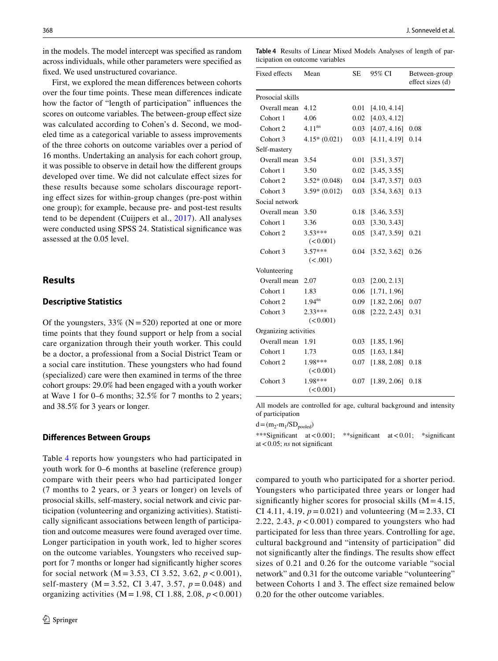in the models. The model intercept was specifed as random across individuals, while other parameters were specifed as fxed. We used unstructured covariance.

First, we explored the mean diferences between cohorts over the four time points. These mean diferences indicate how the factor of "length of participation" infuences the scores on outcome variables. The between-group efect size was calculated according to Cohen's d. Second, we modeled time as a categorical variable to assess improvements of the three cohorts on outcome variables over a period of 16 months. Undertaking an analysis for each cohort group, it was possible to observe in detail how the diferent groups developed over time. We did not calculate efect sizes for these results because some scholars discourage reporting efect sizes for within-group changes (pre-post within one group); for example, because pre- and post-test results tend to be dependent (Cuijpers et al., [2017](#page-11-34)). All analyses were conducted using SPSS 24. Statistical signifcance was assessed at the 0.05 level.

## **Results**

## **Descriptive Statistics**

Of the youngsters,  $33\%$  (N = 520) reported at one or more time points that they found support or help from a social care organization through their youth worker. This could be a doctor, a professional from a Social District Team or a social care institution. These youngsters who had found (specialized) care were then examined in terms of the three cohort groups: 29.0% had been engaged with a youth worker at Wave 1 for 0–6 months; 32.5% for 7 months to 2 years; and 38.5% for 3 years or longer.

#### **Diferences Between Groups**

Table [4](#page-7-0) reports how youngsters who had participated in youth work for 0–6 months at baseline (reference group) compare with their peers who had participated longer (7 months to 2 years, or 3 years or longer) on levels of prosocial skills, self-mastery, social network and civic participation (volunteering and organizing activities). Statistically signifcant associations between length of participation and outcome measures were found averaged over time. Longer participation in youth work, led to higher scores on the outcome variables. Youngsters who received support for 7 months or longer had signifcantly higher scores for social network (M = 3.53, CI 3.52, 3.62, *p* < 0.001), self-mastery (M = 3.52, CI 3.47, 3.57, *p* = 0.048) and organizing activities  $(M = 1.98, CI\ 1.88, 2.08, p < 0.001)$ 

<span id="page-7-0"></span>**Table 4** Results of Linear Mixed Models Analyses of length of participation on outcome variables

| Fixed effects         | Mean                   | SЕ       | 95% CI       | Between-group<br>effect sizes (d) |  |  |  |
|-----------------------|------------------------|----------|--------------|-----------------------------------|--|--|--|
| Prosocial skills      |                        |          |              |                                   |  |  |  |
| Overall mean          | 4.12                   | 0.01     | [4.10, 4.14] |                                   |  |  |  |
| Cohort 1              | 4.06                   | 0.02     | [4.03, 4.12] |                                   |  |  |  |
| Cohort 2              | $4.11^{ns}$            | $0.03 -$ | [4.07, 4.16] | 0.08                              |  |  |  |
| Cohort 3              | $4.15*(0.021)$         | 0.03     | [4.11, 4.19] | 0.14                              |  |  |  |
| Self-mastery          |                        |          |              |                                   |  |  |  |
| Overall mean          | 3.54                   | 0.01     | [3.51, 3.57] |                                   |  |  |  |
| Cohort 1              | 3.50                   | 0.02     | [3.45, 3.55] |                                   |  |  |  |
| Cohort 2              | $3.52*(0.048)$         | 0.04     | [3.47, 3.57] | 0.03                              |  |  |  |
| Cohort 3              | $3.59*(0.012)$         | 0.03     | [3.54, 3.63] | 0.13                              |  |  |  |
| Social network        |                        |          |              |                                   |  |  |  |
| Overall mean          | 3.50                   | 0.18     | [3.46, 3.53] |                                   |  |  |  |
| Cohort 1              | 3.36                   | $0.03 -$ | [3.30, 3.43] |                                   |  |  |  |
| Cohort 2              | $3.53***$<br>(< 0.001) | 0.05     | [3.47, 3.59] | 0.21                              |  |  |  |
| Cohort 3              | $3.57***$<br>(< .001)  | 0.04     | [3.52, 3.62] | 0.26                              |  |  |  |
| Volunteering          |                        |          |              |                                   |  |  |  |
| Overall mean          | 2.07                   | 0.03     | [2.00, 2.13] |                                   |  |  |  |
| Cohort 1              | 1.83                   | 0.06     | [1.71, 1.96] |                                   |  |  |  |
| Cohort 2              | 1.94 <sup>ns</sup>     | 0.09     | [1.82, 2.06] | 0.07                              |  |  |  |
| Cohort 3              | $2.33***$<br>(< 0.001) | 0.08     | [2.22, 2.43] | 0.31                              |  |  |  |
| Organizing activities |                        |          |              |                                   |  |  |  |
| Overall mean          | 1.91                   | 0.03     | [1.85, 1.96] |                                   |  |  |  |
| Cohort 1              | 1.73                   | 0.05     | [1.63, 1.84] |                                   |  |  |  |
| Cohort 2              | 1.98***<br>(< 0.001)   | 0.07     | [1.88, 2.08] | 0.18                              |  |  |  |
| Cohort 3              | 1.98***<br>(< 0.001)   | 0.07     | [1.89, 2.06] | 0.18                              |  |  |  |

All models are controlled for age, cultural background and intensity of participation

 $d = (m_2-m_1/SD_{pooled})$ 

\*\*\*Signifcant at<0.001; \*\*signifcant at<0.01; \*signifcant at<0.05; *ns* not signifcant

compared to youth who participated for a shorter period. Youngsters who participated three years or longer had significantly higher scores for prosocial skills  $(M = 4.15,$ CI 4.11, 4.19,  $p = 0.021$ ) and volunteering (M = 2.33, CI 2.22, 2.43,  $p < 0.001$ ) compared to youngsters who had participated for less than three years. Controlling for age, cultural background and "intensity of participation" did not signifcantly alter the fndings. The results show efect sizes of 0.21 and 0.26 for the outcome variable "social network" and 0.31 for the outcome variable "volunteering" between Cohorts 1 and 3. The effect size remained below 0.20 for the other outcome variables.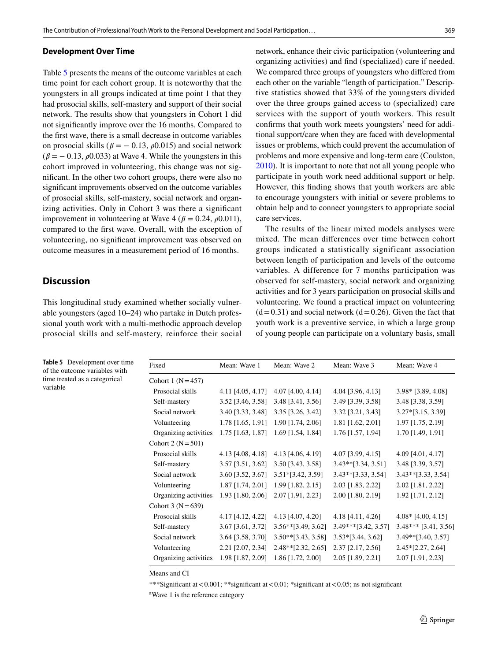#### **Development Over Time**

Table [5](#page-8-0) presents the means of the outcome variables at each time point for each cohort group. It is noteworthy that the youngsters in all groups indicated at time point 1 that they had prosocial skills, self-mastery and support of their social network. The results show that youngsters in Cohort 1 did not signifcantly improve over the 16 months. Compared to the frst wave, there is a small decrease in outcome variables on prosocial skills ( $\beta = -0.13$ ,  $\rho$ 0.015) and social network  $(\beta = -0.13, \rho 0.033)$  at Wave 4. While the youngsters in this cohort improved in volunteering, this change was not signifcant. In the other two cohort groups, there were also no signifcant improvements observed on the outcome variables of prosocial skills, self-mastery, social network and organizing activities. Only in Cohort 3 was there a signifcant improvement in volunteering at Wave 4 ( $\beta$  = 0.24,  $\rho$ 0.011), compared to the frst wave. Overall, with the exception of volunteering, no signifcant improvement was observed on outcome measures in a measurement period of 16 months.

## **Discussion**

variable

of the outcome variables with time treated as a categorical

This longitudinal study examined whether socially vulnerable youngsters (aged 10–24) who partake in Dutch professional youth work with a multi-methodic approach develop prosocial skills and self-mastery, reinforce their social network, enhance their civic participation (volunteering and organizing activities) and fnd (specialized) care if needed. We compared three groups of youngsters who difered from each other on the variable "length of participation." Descriptive statistics showed that 33% of the youngsters divided over the three groups gained access to (specialized) care services with the support of youth workers. This result confrms that youth work meets youngsters' need for additional support/care when they are faced with developmental issues or problems, which could prevent the accumulation of problems and more expensive and long-term care (Coulston, [2010](#page-10-15)). It is important to note that not all young people who participate in youth work need additional support or help. However, this fnding shows that youth workers are able to encourage youngsters with initial or severe problems to obtain help and to connect youngsters to appropriate social care services.

The results of the linear mixed models analyses were mixed. The mean diferences over time between cohort groups indicated a statistically significant association between length of participation and levels of the outcome variables*.* A difference for 7 months participation was observed for self-mastery, social network and organizing activities and for 3 years participation on prosocial skills and volunteering. We found a practical impact on volunteering  $(d=0.31)$  and social network  $(d=0.26)$ . Given the fact that youth work is a preventive service, in which a large group of young people can participate on a voluntary basis, small

<span id="page-8-0"></span>**Table 5** Development over time Fixed Mean: Wave 1 Mean: Wave 2 Mean: Wave 3 Mean: Wave 4 Cohort 1  $(N=457)$  Prosocial skills 4.11 [4.05, 4.17] 4.07 [4.00, 4.14] 4.04 [3.96, 4.13] 3.98\* [3.89, 4.08] Self-mastery 3.52 [3.46, 3.58] 3.48 [3.41, 3.56] 3.49 [3.39, 3.58] 3.48 [3.38, 3.59] Social network 3.40 [3.33, 3.48] 3.35 [3.26, 3.42] 3.32 [3.21, 3.43] 3.27\*[3.15, 3.39] Volunteering 1.78 [1.65, 1.91] 1.90 [1.74, 2.06] 1.81 [1.62, 2.01] 1.97 [1.75, 2.19] Organizing activities 1.75 [1.63, 1.87] 1.69 [1.54, 1.84] 1.76 [1.57, 1.94] 1.70 [1.49, 1.91] Cohort 2 ( $N = 501$ ) Prosocial skills 4.13 [4.08, 4.18] 4.13 [4.06, 4.19] 4.07 [3.99, 4.15] 4.09 [4.01, 4.17] Self-mastery 3.57 [3.51, 3.62] 3.50 [3.43, 3.58] 3.43\*\*[3.34, 3.51] 3.48 [3.39, 3.57] Social network 3.60 [3.52, 3.67] 3.51\*[3.42, 3.59] 3.43\*\*[3.33, 3.54] 3.43\*\*[3.33, 3.54] Volunteering 1.87 [1.74, 2.01] 1.99 [1.82, 2.15] 2.03 [1.83, 2.22] 2.02 [1.81, 2.22] Organizing activities 1.93 [1.80, 2.06] 2.07 [1.91, 2.23] 2.00 [1.80, 2.19] 1.92 [1.71, 2.12] Cohort 3 ( $N = 639$ ) Prosocial skills 4.17 [4.12, 4.22] 4.13 [4.07, 4.20] 4.18 [4.11, 4.26] 4.08\* [4.00, 4.15] Self-mastery 3.67 [3.61, 3.72] 3.56\*\*[3.49, 3.62] 3.49\*\*\*[3.42, 3.57] 3.48\*\*\* [3.41, 3.56] Social network 3.64 [3.58, 3.70] 3.50\*\* [3.43, 3.58] 3.53\* [3.44, 3.62] 3.49\*\* [3.40, 3.57] Volunteering 2.21 [2.07, 2.34] 2.48\*\*[2.32, 2.65] 2.37 [2.17, 2.56] 2.45\*[2.27, 2.64] Organizing activities 1.98 [1.87, 2.09] 1.86 [1.72, 2.00] 2.05 [1.89, 2.21] 2.07 [1.91, 2.23]

Means and CI

\*\*\*Signifcant at<0.001; \*\*signifcant at<0.01; \*signifcant at<0.05; ns not signifcant

a Wave 1 is the reference category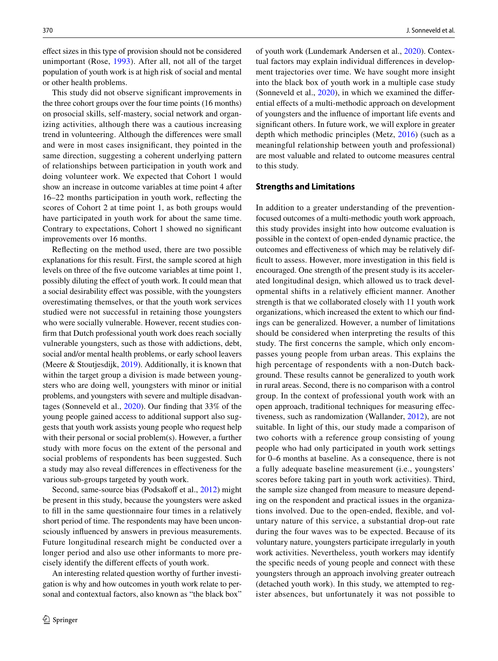efect sizes in this type of provision should not be considered unimportant (Rose, [1993](#page-11-35)). After all, not all of the target population of youth work is at high risk of social and mental or other health problems.

This study did not observe signifcant improvements in the three cohort groups over the four time points (16 months) on prosocial skills, self-mastery, social network and organizing activities, although there was a cautious increasing trend in volunteering. Although the diferences were small and were in most cases insignifcant, they pointed in the same direction, suggesting a coherent underlying pattern of relationships between participation in youth work and doing volunteer work. We expected that Cohort 1 would show an increase in outcome variables at time point 4 after 16–22 months participation in youth work, refecting the scores of Cohort 2 at time point 1, as both groups would have participated in youth work for about the same time. Contrary to expectations, Cohort 1 showed no signifcant improvements over 16 months.

Refecting on the method used, there are two possible explanations for this result. First, the sample scored at high levels on three of the fve outcome variables at time point 1, possibly diluting the efect of youth work. It could mean that a social desirability efect was possible, with the youngsters overestimating themselves, or that the youth work services studied were not successful in retaining those youngsters who were socially vulnerable. However, recent studies confrm that Dutch professional youth work does reach socially vulnerable youngsters, such as those with addictions, debt, social and/or mental health problems, or early school leavers (Meere & Stoutjesdijk, [2019\)](#page-11-36). Additionally, it is known that within the target group a division is made between youngsters who are doing well, youngsters with minor or initial problems, and youngsters with severe and multiple disadvantages (Sonneveld et al., [2020](#page-11-8)). Our fnding that 33% of the young people gained access to additional support also suggests that youth work assists young people who request help with their personal or social problem(s). However, a further study with more focus on the extent of the personal and social problems of respondents has been suggested. Such a study may also reveal diferences in efectiveness for the various sub-groups targeted by youth work.

Second, same-source bias (Podsakoff et al., [2012\)](#page-11-37) might be present in this study, because the youngsters were asked to fll in the same questionnaire four times in a relatively short period of time. The respondents may have been unconsciously infuenced by answers in previous measurements. Future longitudinal research might be conducted over a longer period and also use other informants to more precisely identify the diferent efects of youth work.

An interesting related question worthy of further investigation is why and how outcomes in youth work relate to personal and contextual factors, also known as "the black box"

of youth work (Lundemark Andersen et al., [2020\)](#page-11-38). Contextual factors may explain individual diferences in development trajectories over time. We have sought more insight into the black box of youth work in a multiple case study (Sonneveld et al., [2020\)](#page-11-8), in which we examined the diferential efects of a multi-methodic approach on development of youngsters and the infuence of important life events and signifcant others. In future work, we will explore in greater depth which methodic principles (Metz, [2016](#page-11-13)) (such as a meaningful relationship between youth and professional) are most valuable and related to outcome measures central to this study.

## **Strengths and Limitations**

In addition to a greater understanding of the preventionfocused outcomes of a multi-methodic youth work approach, this study provides insight into how outcome evaluation is possible in the context of open-ended dynamic practice, the outcomes and efectiveness of which may be relatively difficult to assess. However, more investigation in this field is encouraged. One strength of the present study is its accelerated longitudinal design, which allowed us to track developmental shifts in a relatively efficient manner. Another strength is that we collaborated closely with 11 youth work organizations, which increased the extent to which our fndings can be generalized. However, a number of limitations should be considered when interpreting the results of this study. The frst concerns the sample, which only encompasses young people from urban areas. This explains the high percentage of respondents with a non-Dutch background. These results cannot be generalized to youth work in rural areas. Second, there is no comparison with a control group. In the context of professional youth work with an open approach, traditional techniques for measuring efectiveness, such as randomization (Wallander, [2012\)](#page-12-6), are not suitable. In light of this, our study made a comparison of two cohorts with a reference group consisting of young people who had only participated in youth work settings for 0–6 months at baseline. As a consequence, there is not a fully adequate baseline measurement (i.e., youngsters' scores before taking part in youth work activities). Third, the sample size changed from measure to measure depending on the respondent and practical issues in the organizations involved. Due to the open-ended, fexible, and voluntary nature of this service, a substantial drop-out rate during the four waves was to be expected. Because of its voluntary nature, youngsters participate irregularly in youth work activities. Nevertheless, youth workers may identify the specifc needs of young people and connect with these youngsters through an approach involving greater outreach (detached youth work). In this study, we attempted to register absences, but unfortunately it was not possible to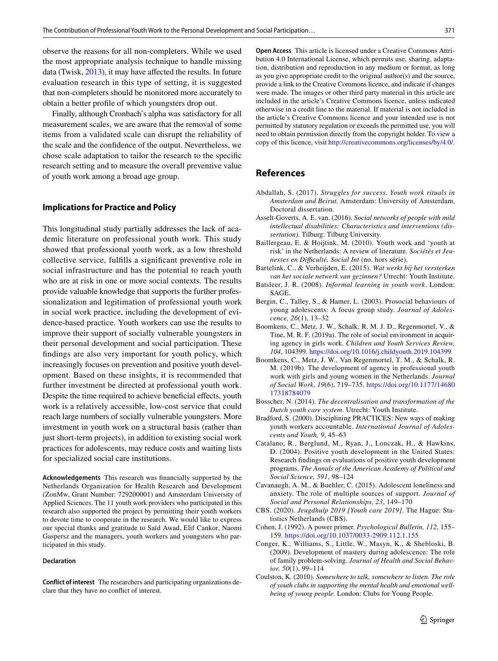observe the reasons for all non-completers. While we used the most appropriate analysis technique to handle missing data (Twisk, [2013\)](#page-12-7), it may have afected the results. In future evaluation research in this type of setting, it is suggested that non-completers should be monitored more accurately to obtain a better profle of which youngsters drop out.

Finally, although Cronbach's alpha was satisfactory for all measurement scales, we are aware that the removal of some items from a validated scale can disrupt the reliability of the scale and the confdence of the output. Nevertheless, we chose scale adaptation to tailor the research to the specifc research setting and to measure the overall preventive value of youth work among a broad age group.

#### **Implications for Practice and Policy**

This longitudinal study partially addresses the lack of academic literature on professional youth work. This study showed that professional youth work, as a low threshold collective service, fulflls a signifcant preventive role in social infrastructure and has the potential to reach youth who are at risk in one or more social contexts. The results provide valuable knowledge that supports the further professionalization and legitimation of professional youth work in social work practice, including the development of evidence-based practice. Youth workers can use the results to improve their support of socially vulnerable youngsters in their personal development and social participation. These fndings are also very important for youth policy, which increasingly focuses on prevention and positive youth development. Based on these insights, it is recommended that further investment be directed at professional youth work. Despite the time required to achieve beneficial effects, youth work is a relatively accessible, low-cost service that could reach large numbers of socially vulnerable youngsters. More investment in youth work on a structural basis (rather than just short-term projects), in addition to existing social work practices for adolescents, may reduce costs and waiting lists for specialized social care institutions.

**Acknowledgements** This research was fnancially supported by the Netherlands Organization for Health Research and Development (ZonMw, Grant Number: 729200001) and Amsterdam University of Applied Sciences. The 11 youth work providers who participated in this research also supported the project by permitting their youth workers to devote time to cooperate in the research. We would like to express our special thanks and gratitude to Saïd Awad, Elif Cankor, Naomi Gaspersz and the managers, youth workers and youngsters who participated in this study.

#### **Declaration**

**Conflict of interest** The researchers and participating organizations declare that they have no confict of interest.

**Open Access** This article is licensed under a Creative Commons Attribution 4.0 International License, which permits use, sharing, adaptation, distribution and reproduction in any medium or format, as long as you give appropriate credit to the original author(s) and the source, provide a link to the Creative Commons licence, and indicate if changes were made. The images or other third party material in this article are included in the article's Creative Commons licence, unless indicated otherwise in a credit line to the material. If material is not included in the article's Creative Commons licence and your intended use is not permitted by statutory regulation or exceeds the permitted use, you will need to obtain permission directly from the copyright holder. To view a copy of this licence, visit<http://creativecommons.org/licenses/by/4.0/>.

# **References**

- <span id="page-10-3"></span>Abdallah, S. (2017). *Struggles for success. Youth work rituals in Amsterdam and Beirut.* Amsterdam: University of Amsterdam, Doctoral dissertation.
- <span id="page-10-14"></span>Asselt-Goverts, A. E. van. (2016). *Social networks of people with mild intellectual disabilities: Characteristics and interventions (dissertation)*. Tilburg: Tilburg University.
- <span id="page-10-2"></span>Baillergeau, E. & Hoijtink, M. (2010). Youth work and 'youth at risk' in the Netherlands: A review of literature*. Sociétés et Jeunesses en Difculté, Social Int* (no. hors série).
- <span id="page-10-10"></span>Bartelink, C., & Verheijden, E. (2015). *Wat werkt bij het versterken van het sociale netwerk van gezinnen?* Utrecht: Youth Institute.
- <span id="page-10-4"></span>Batsleer, J. R. (2008). *Informal learning in youth work*. London: SAGE.
- <span id="page-10-7"></span>Bergin, C., Talley, S., & Hamer, L. (2003). Prosocial behaviours of young adolescents: A focus group study. *Journal of Adolescence, 26*(1), 13–32
- <span id="page-10-12"></span>Boomkens, C., Metz, J. W., Schalk, R. M. J. D., Regenmortel, V., & Tine, M. R. F. (2019a). The role of social environment in acquiring agency in girls work. *Children and Youth Services Review, 104*, 104399.<https://doi.org/10.1016/j.childyouth.2019.104399>
- <span id="page-10-9"></span>Boomkens, C., Metz, J. W., Van Regenmortel, T. M., & Schalk, R. M. (2019b). The development of agency in professional youth work with girls and young women in the Netherlands. *Journal of Social Work, 19*(6), 719–735. [https://doi.org/10.1177/14680](https://doi.org/10.1177/1468017318784079) [17318784079](https://doi.org/10.1177/1468017318784079)
- <span id="page-10-6"></span>Bosscher, N. (2014). *The decentralisation and transformation of the Dutch youth care system*. Utrecht: Youth Institute.
- <span id="page-10-5"></span>Bradford, S. (2000). Disciplining PRACTICES: New ways of making youth workers accountable. *International Journal of Adolescents and Youth, 9*, 45–63
- <span id="page-10-1"></span>Catalano, R., Berglund, M., Ryan, J., Lonczak, H., & Hawkins, D. (2004). Positive youth development in the United States: Research fndings on evaluations of positive youth development programs. *The Annals of the American Academy of Political and Social Science, 591*, 98–124
- <span id="page-10-11"></span>Cavanaugh, A. M., & Buehler, C. (2015). Adolescent loneliness and anxiety. The role of multiple sources of support. *Journal of Social and Personal Relationships, 23*, 149–170
- <span id="page-10-0"></span>CBS. (2020). *Jeugdhulp 2019 [Youth care 2019]*. The Hague: Statistics Netherlands (CBS).
- <span id="page-10-13"></span>Cohen, J. (1992). A power primer. *Psychological Bulletin, 112*, 155– 159. <https://doi.org/10.1037/0033-2909.112.1.155>
- <span id="page-10-8"></span>Conger, K., Williams, S., Little, W., Masyn, K., & Shebloski, B. (2009). Development of mastery during adolescence: The role of family problem-solving. *Journal of Health and Social Behavior, 50*(1), 99–114
- <span id="page-10-15"></span>Coulston, K. (2010). *Somewhere to talk, somewhere to listen. The role of youth clubs in supporting the mental health and emotional wellbeing of young people*. London: Clubs for Young People.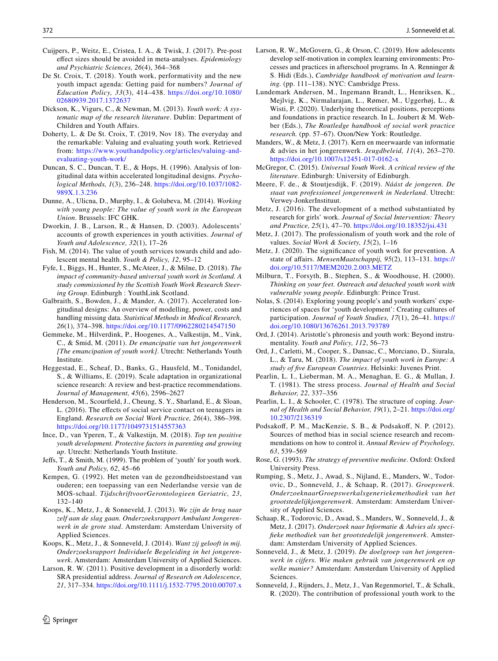- <span id="page-11-34"></span>Cuijpers, P., Weitz, E., Cristea, I. A., & Twisk, J. (2017). Pre-post efect sizes should be avoided in meta-analyses. *Epidemiology and Psychiatric Sciences, 26*(4), 364–368
- <span id="page-11-20"></span>De St. Croix, T. (2018). Youth work, performativity and the new youth impact agenda: Getting paid for numbers? *Journal of Education Policy, 33*(3), 414–438. [https://doi.org/10.1080/](https://doi.org/10.1080/02680939.2017.1372637) [02680939.2017.1372637](https://doi.org/10.1080/02680939.2017.1372637)
- <span id="page-11-24"></span>Dickson, K., Vigurs, C., & Newman, M. (2013). *Youth work: A systematic map of the research literature*. Dublin: Department of Children and Youth Afairs.
- <span id="page-11-6"></span>Doherty, L. & De St. Croix, T. (2019, Nov 18). The everyday and the remarkable: Valuing and evaluating youth work. Retrieved from: [https://www.youthandpolicy.org/articles/valuing-and](https://www.youthandpolicy.org/articles/valuing-and-evaluating-youth-work/)[evaluating-youth-work/](https://www.youthandpolicy.org/articles/valuing-and-evaluating-youth-work/)
- <span id="page-11-33"></span>Duncan, S. C., Duncan, T. E., & Hops, H. (1996). Analysis of longitudinal data within accelerated longitudinal designs. *Psychological Methods, 1*(3), 236–248. [https://doi.org/10.1037/1082-](https://doi.org/10.1037/1082-989X.1.3.236) [989X.1.3.236](https://doi.org/10.1037/1082-989X.1.3.236)
- <span id="page-11-3"></span>Dunne, A., Ulicna, D., Murphy, I., & Golubeva, M. (2014). *Working with young people: The value of youth work in the European Union*. Brussels: IFC GHK.
- <span id="page-11-26"></span>Dworkin, J. B., Larson, R., & Hansen, D. (2003). Adolescents' accounts of growth experiences in youth activities. *Journal of Youth and Adolescence, 32*(1), 17–26
- <span id="page-11-0"></span>Fish, M. (2014). The value of youth services towards child and adolescent mental health. *Youth & Policy, 12*, 95–12
- <span id="page-11-11"></span>Fyfe, I., Biggs, H., Hunter, S., McAteer, J., & Milne, D. (2018). *The impact of community-based universal youth work in Scotland. A study commissioned by the Scottish Youth Work Research Steering Group*. Edinburgh : YouthLink Scotland.
- <span id="page-11-28"></span>Galbraith, S., Bowden, J., & Mander, A. (2017). Accelerated longitudinal designs: An overview of modelling, power, costs and handling missing data. *Statistical Methods in Medical Research, 26*(1), 374–398.<https://doi.org/10.1177/0962280214547150>
- <span id="page-11-29"></span>Gemmeke, M., Hilverdink, P., Hoogenes, A., Valkestijn, M., Vink, C., & Smid, M. (2011). *De emancipatie van het jongerenwerk [The emancipation of youth work]*. Utrecht: Netherlands Youth Institute.
- <span id="page-11-30"></span>Heggestad, E., Scheaf, D., Banks, G., Hausfeld, M., Tonidandel, S., & Williams, E. (2019). Scale adaptation in organizational science research: A review and best-practice recommendations. *Journal of Management, 45*(6), 2596–2627
- <span id="page-11-7"></span>Henderson, M., Scourfeld, J., Cheung, S. Y., Sharland, E., & Sloan, L. (2016). The efects of social service contact on teenagers in England. *Research on Social Work Practice, 26*(4), 386–398. <https://doi.org/10.1177/1049731514557363>
- <span id="page-11-27"></span>Ince, D., van Yperen, T., & Valkestijn, M. (2018). *Top ten positive youth development. Protective factors in parenting and growing up*. Utrecht: Netherlands Youth Institute.
- <span id="page-11-9"></span>Jefs, T., & Smith, M. (1999). The problem of 'youth' for youth work. *Youth and Policy, 62*, 45–66
- <span id="page-11-31"></span>Kempen, G. (1992). Het meten van de gezondheidstoestand van ouderen; een toepassing van een Nederlandse versie van de MOS-schaal. *TijdschriftvoorGerontologieen Geriatric, 23*, 132–140
- <span id="page-11-21"></span>Koops, K., Metz, J., & Sonneveld, J. (2013). *We zijn de brug naar zelf aan de slag gaan. Onderzoeksrapport Ambulant Jongerenwerk in de grote stad*. Amsterdam: Amsterdam University of Applied Sciences.
- <span id="page-11-18"></span>Koops, K., Metz, J., & Sonneveld, J. (2014). *Want zij gelooft in mij. Onderzoeksrapport Individuele Begeleiding in het jongerenwerk*. Amsterdam: Amsterdam University of Applied Sciences.
- <span id="page-11-5"></span>Larson, R. W. (2011). Positive development in a disorderly world: SRA presidential address. *Journal of Research on Adolescence, 21*, 317–334.<https://doi.org/10.1111/j.1532-7795.2010.00707.x>
- $\circled{2}$  Springer
- <span id="page-11-4"></span>Larson, R. W., McGovern, G., & Orson, C. (2019). How adolescents develop self-motivation in complex learning environments: Processes and practices in afterschool programs. In A. Renninger & S. Hidi (Eds.), *Cambridge handbook of motivation and learning.* (pp. 111–138). NYC: Cambridge Press.
- <span id="page-11-38"></span>Lundemark Andersen, M., Ingemann Brandt, L., Henriksen, K., Mejlvig, K., Nirmalarajan, L., Rømer, M., Uggerhøj, L., & Wisti, P. (2020). Underlying theoretical positions, perceptions and foundations in practice research. In L. Joubert & M. Webber (Eds.), *The Routledge handbook of social work practice research.* (pp. 57–67). Oxon/New York: Routledge.
- <span id="page-11-19"></span>Manders, W., & Metz, J. (2017). Kern en meerwaarde van informatie & advies in het jongerenwerk. *Jeugdbeleid, 11*(4), 263–270. <https://doi.org/10.1007/s12451-017-0162-x>
- <span id="page-11-1"></span>McGregor, C. (2015). *Universal Youth Work. A critical review of the literature*. Edinburgh: University of Edinburgh.
- <span id="page-11-36"></span>Meere, F. de., & Stoutjesdijk, F. (2019). *Náást de jongeren. De staat van professioneel jongerenwerk in Nederland*. Utrecht: Verwey-JonkerInstituut.
- <span id="page-11-13"></span>Metz, J. (2016). The development of a method substantiated by research for girls' work. *Journal of Social Intervention: Theory and Practice, 25*(1), 47–70.<https://doi.org/10.18352/jsi.431>
- <span id="page-11-2"></span>Metz, J. (2017). The professionalism of youth work and the role of values. *Social Work & Society, 15*(2), 1–16
- <span id="page-11-15"></span>Metz, J. (2020). The signifcance of youth work for prevention. A state of afairs. *MensenMaatschappij, 95*(2), 113–131. [https://](https://doi.org/10.5117/MEM2020.2.003.METZ) [doi.org/10.5117/MEM2020.2.003.METZ](https://doi.org/10.5117/MEM2020.2.003.METZ)
- <span id="page-11-16"></span>Milburn, T., Forsyth, B., Stephen, S., & Woodhouse, H. (2000). *Thinking on your feet. Outreach and detached youth work with vulnerable young people*. Edinburgh: Prince Trust.
- <span id="page-11-12"></span>Nolas, S. (2014). Exploring young people's and youth workers' experiences of spaces for 'youth development': Creating cultures of participation. *Journal of Youth Studies, 17*(1), 26–41. [https://](https://doi.org/10.1080/13676261.2013.793789) [doi.org/10.1080/13676261.2013.793789](https://doi.org/10.1080/13676261.2013.793789)
- <span id="page-11-14"></span>Ord, J. (2014). Aristotle's phronesis and youth work: Beyond instrumentality. *Youth and Policy, 112*, 56–73
- <span id="page-11-22"></span>Ord, J., Carletti, M., Cooper, S., Dansac, C., Morciano, D., Siurala, L., & Taru, M. (2018). *The impact of youth work in Europe: A study of fve European Countries*. Helsinki: Juvenes Print.
- <span id="page-11-32"></span>Pearlin, L. I., Lieberman, M. A., Menaghan, E. G., & Mullan, J. T. (1981). The stress process. *Journal of Health and Social Behavior, 22*, 337–356
- <span id="page-11-25"></span>Pearlin, L. I., & Schooler, C. (1978). The structure of coping. *Journal of Health and Social Behavior, 19*(1), 2–21. [https://doi.org/](https://doi.org/10.2307/2136319) [10.2307/2136319](https://doi.org/10.2307/2136319)
- <span id="page-11-37"></span>Podsakof, P. M., MacKenzie, S. B., & Podsakof, N. P. (2012). Sources of method bias in social science research and recommendations on how to control it. *Annual Review of Psychology, 63*, 539–569
- <span id="page-11-35"></span>Rose, G. (1993). *The strategy of preventive medicine*. Oxford: Oxford University Press.
- <span id="page-11-17"></span>Rumping, S., Metz, J., Awad, S., Nijland, E., Manders, W., Todorovic, D., Sonneveld, J., & Schaap, R. (2017). *Groepswerk. OnderzoeknaarGroepswerkalsgeneriekemethodiek van het grootstedelijkjongerenwerk*. Amsterdam: Amsterdam University of Applied Sciences.
- <span id="page-11-23"></span>Schaap, R., Todorovic, D., Awad, S., Manders, W., Sonneveld, J., & Metz, J. (2017). *Onderzoek naar Informatie & Advies als specifeke methodiek van het grootstedelijk jongerenwerk*. Amsterdam: Amsterdam University of Applied Sciences.
- <span id="page-11-10"></span>Sonneveld, J., & Metz, J. (2019). *De doelgroep van het jongerenwerk in cijfers. Wie maken gebruik van jongerenwerk en op welke manier?* Amsterdam: Amsterdam University of Applied Sciences.
- <span id="page-11-8"></span>Sonneveld, J., Rijnders, J., Metz, J., Van Regenmortel, T., & Schalk, R. (2020). The contribution of professional youth work to the